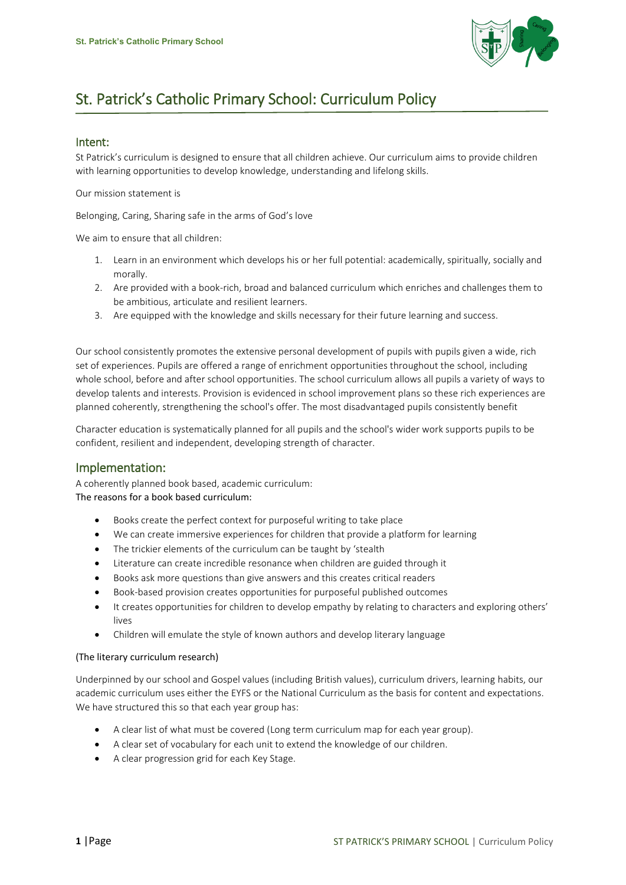

# St. Patrick's Catholic Primary School: Curriculum Policy

### Intent:

St Patrick's curriculum is designed to ensure that all children achieve. Our curriculum aims to provide children with learning opportunities to develop knowledge, understanding and lifelong skills.

Our mission statement is

Belonging, Caring, Sharing safe in the arms of God's love

We aim to ensure that all children:

- 1. Learn in an environment which develops his or her full potential: academically, spiritually, socially and morally.
- 2. Are provided with a book-rich, broad and balanced curriculum which enriches and challenges them to be ambitious, articulate and resilient learners.
- 3. Are equipped with the knowledge and skills necessary for their future learning and success.

Our school consistently promotes the extensive personal development of pupils with pupils given a wide, rich set of experiences. Pupils are offered a range of enrichment opportunities throughout the school, including whole school, before and after school opportunities. The school curriculum allows all pupils a variety of ways to develop talents and interests. Provision is evidenced in school improvement plans so these rich experiences are planned coherently, strengthening the school's offer. The most disadvantaged pupils consistently benefit

Character education is systematically planned for all pupils and the school's wider work supports pupils to be confident, resilient and independent, developing strength of character.

# Implementation:

A coherently planned book based, academic curriculum: The reasons for a book based curriculum:

- Books create the perfect context for purposeful writing to take place
- We can create immersive experiences for children that provide a platform for learning
- The trickier elements of the curriculum can be taught by 'stealth
- Literature can create incredible resonance when children are guided through it
- Books ask more questions than give answers and this creates critical readers
- Book-based provision creates opportunities for purposeful published outcomes
- It creates opportunities for children to develop empathy by relating to characters and exploring others' lives
- Children will emulate the style of known authors and develop literary language

#### (The literary curriculum research)

Underpinned by our school and Gospel values (including British values), curriculum drivers, learning habits, our academic curriculum uses either the EYFS or the National Curriculum as the basis for content and expectations. We have structured this so that each year group has:

- A clear list of what must be covered (Long term curriculum map for each year group).
- A clear set of vocabulary for each unit to extend the knowledge of our children.
- A clear progression grid for each Key Stage.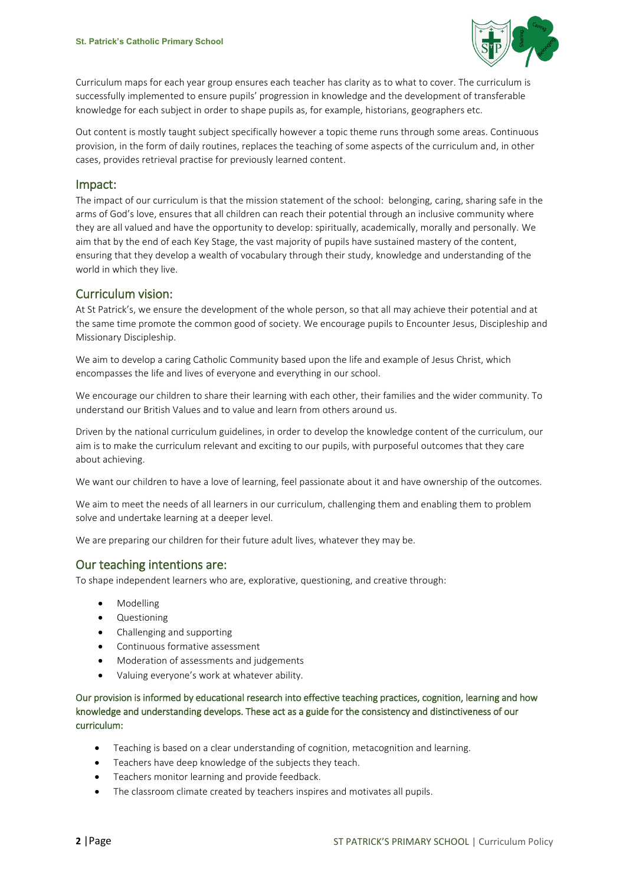

Curriculum maps for each year group ensures each teacher has clarity as to what to cover. The curriculum is successfully implemented to ensure pupils' progression in knowledge and the development of transferable knowledge for each subject in order to shape pupils as, for example, historians, geographers etc.

Out content is mostly taught subject specifically however a topic theme runs through some areas. Continuous provision, in the form of daily routines, replaces the teaching of some aspects of the curriculum and, in other cases, provides retrieval practise for previously learned content.

## Impact:

The impact of our curriculum is that the mission statement of the school: belonging, caring, sharing safe in the arms of God's love, ensures that all children can reach their potential through an inclusive community where they are all valued and have the opportunity to develop: spiritually, academically, morally and personally. We aim that by the end of each Key Stage, the vast majority of pupils have sustained mastery of the content, ensuring that they develop a wealth of vocabulary through their study, knowledge and understanding of the world in which they live.

## Curriculum vision:

At St Patrick's, we ensure the development of the whole person, so that all may achieve their potential and at the same time promote the common good of society. We encourage pupils to Encounter Jesus, Discipleship and Missionary Discipleship.

We aim to develop a caring Catholic Community based upon the life and example of Jesus Christ, which encompasses the life and lives of everyone and everything in our school.

We encourage our children to share their learning with each other, their families and the wider community. To understand our British Values and to value and learn from others around us.

Driven by the national curriculum guidelines, in order to develop the knowledge content of the curriculum, our aim is to make the curriculum relevant and exciting to our pupils, with purposeful outcomes that they care about achieving.

We want our children to have a love of learning, feel passionate about it and have ownership of the outcomes.

We aim to meet the needs of all learners in our curriculum, challenging them and enabling them to problem solve and undertake learning at a deeper level.

We are preparing our children for their future adult lives, whatever they may be.

# Our teaching intentions are:

To shape independent learners who are, explorative, questioning, and creative through:

- Modelling
- Questioning
- Challenging and supporting
- Continuous formative assessment
- Moderation of assessments and judgements
- Valuing everyone's work at whatever ability.

Our provision is informed by educational research into effective teaching practices, cognition, learning and how knowledge and understanding develops. These act as a guide for the consistency and distinctiveness of our curriculum:

- Teaching is based on a clear understanding of cognition, metacognition and learning.
- **•** Teachers have deep knowledge of the subjects they teach.
- **•** Teachers monitor learning and provide feedback.
- The classroom climate created by teachers inspires and motivates all pupils.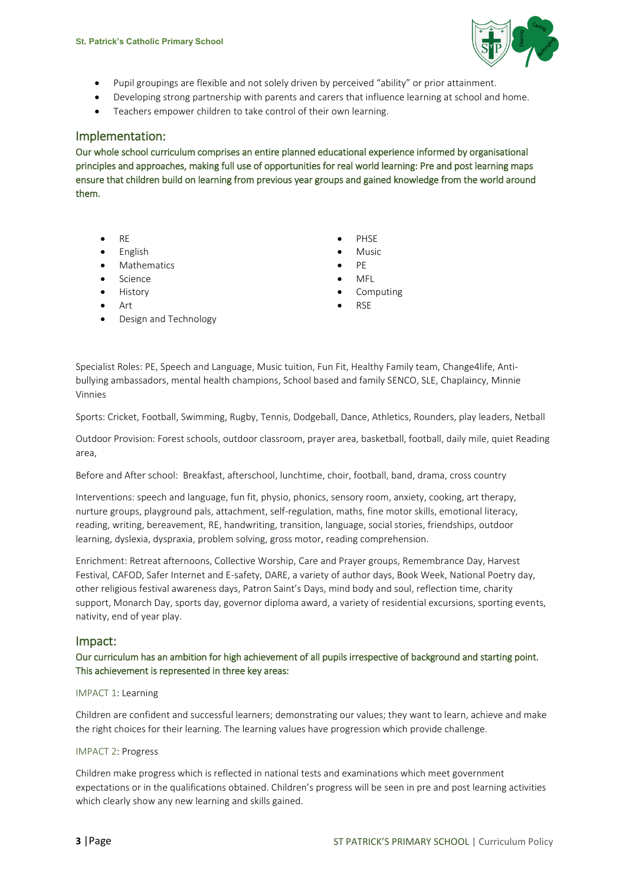

- Pupil groupings are flexible and not solely driven by perceived "ability" or prior attainment.
- Developing strong partnership with parents and carers that influence learning at school and home.
- Teachers empower children to take control of their own learning.

## Implementation:

Our whole school curriculum comprises an entire planned educational experience informed by organisational principles and approaches, making full use of opportunities for real world learning: Pre and post learning maps ensure that children build on learning from previous year groups and gained knowledge from the world around them.

- 
- English **Music**
- Mathematics **Contracts PE**
- Science **MFL**
- 
- 
- Design and Technology
- RE PHSE
	-
	-
	-
	- History **Computing**
- Art RSE

Specialist Roles: PE, Speech and Language, Music tuition, Fun Fit, Healthy Family team, Change4life, Antibullying ambassadors, mental health champions, School based and family SENCO, SLE, Chaplaincy, Minnie Vinnies

Sports: Cricket, Football, Swimming, Rugby, Tennis, Dodgeball, Dance, Athletics, Rounders, play leaders, Netball

Outdoor Provision: Forest schools, outdoor classroom, prayer area, basketball, football, daily mile, quiet Reading area,

Before and After school: Breakfast, afterschool, lunchtime, choir, football, band, drama, cross country

Interventions: speech and language, fun fit, physio, phonics, sensory room, anxiety, cooking, art therapy, nurture groups, playground pals, attachment, self-regulation, maths, fine motor skills, emotional literacy, reading, writing, bereavement, RE, handwriting, transition, language, social stories, friendships, outdoor learning, dyslexia, dyspraxia, problem solving, gross motor, reading comprehension.

Enrichment: Retreat afternoons, Collective Worship, Care and Prayer groups, Remembrance Day, Harvest Festival, CAFOD, Safer Internet and E-safety, DARE, a variety of author days, Book Week, National Poetry day, other religious festival awareness days, Patron Saint's Days, mind body and soul, reflection time, charity support, Monarch Day, sports day, governor diploma award, a variety of residential excursions, sporting events, nativity, end of year play.

#### Impact:

Our curriculum has an ambition for high achievement of all pupils irrespective of background and starting point. This achievement is represented in three key areas:

#### IMPACT 1: Learning

Children are confident and successful learners; demonstrating our values; they want to learn, achieve and make the right choices for their learning. The learning values have progression which provide challenge.

#### IMPACT 2: Progress

Children make progress which is reflected in national tests and examinations which meet government expectations or in the qualifications obtained. Children's progress will be seen in pre and post learning activities which clearly show any new learning and skills gained.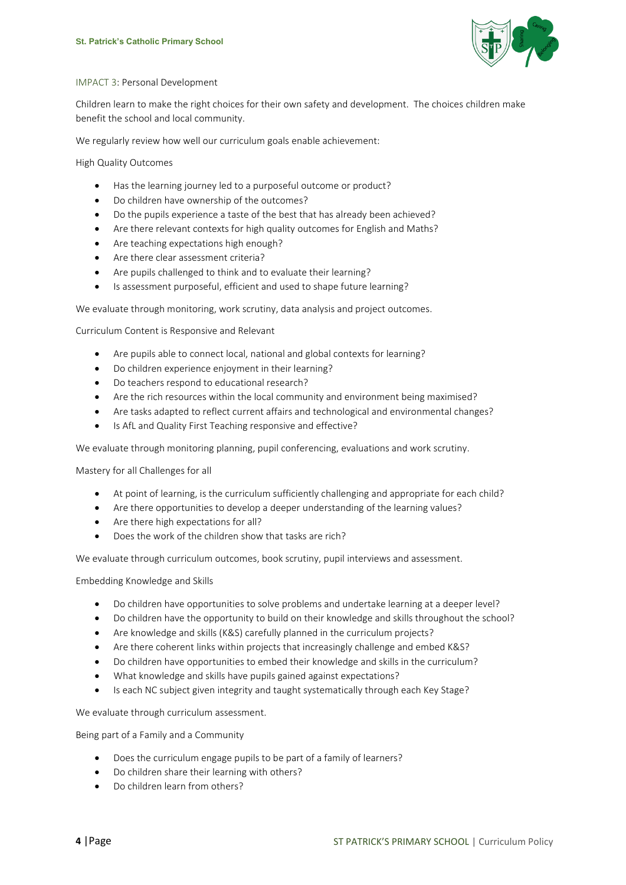

#### IMPACT 3: Personal Development

Children learn to make the right choices for their own safety and development. The choices children make benefit the school and local community.

We regularly review how well our curriculum goals enable achievement:

High Quality Outcomes

- Has the learning journey led to a purposeful outcome or product?
- Do children have ownership of the outcomes?
- Do the pupils experience a taste of the best that has already been achieved?
- Are there relevant contexts for high quality outcomes for English and Maths?
- Are teaching expectations high enough?
- Are there clear assessment criteria?
- Are pupils challenged to think and to evaluate their learning?
- Is assessment purposeful, efficient and used to shape future learning?

We evaluate through monitoring, work scrutiny, data analysis and project outcomes.

Curriculum Content is Responsive and Relevant

- Are pupils able to connect local, national and global contexts for learning?
- Do children experience enjoyment in their learning?
- Do teachers respond to educational research?
- Are the rich resources within the local community and environment being maximised?
- Are tasks adapted to reflect current affairs and technological and environmental changes?
- Is AfL and Quality First Teaching responsive and effective?

We evaluate through monitoring planning, pupil conferencing, evaluations and work scrutiny.

Mastery for all Challenges for all

- At point of learning, is the curriculum sufficiently challenging and appropriate for each child?
- Are there opportunities to develop a deeper understanding of the learning values?
- Are there high expectations for all?
- Does the work of the children show that tasks are rich?

We evaluate through curriculum outcomes, book scrutiny, pupil interviews and assessment.

Embedding Knowledge and Skills

- Do children have opportunities to solve problems and undertake learning at a deeper level?
- Do children have the opportunity to build on their knowledge and skills throughout the school?
- Are knowledge and skills (K&S) carefully planned in the curriculum projects?
- Are there coherent links within projects that increasingly challenge and embed K&S?
- Do children have opportunities to embed their knowledge and skills in the curriculum?
- What knowledge and skills have pupils gained against expectations?
- Is each NC subject given integrity and taught systematically through each Key Stage?

We evaluate through curriculum assessment.

Being part of a Family and a Community

- Does the curriculum engage pupils to be part of a family of learners?
- Do children share their learning with others?
- Do children learn from others?